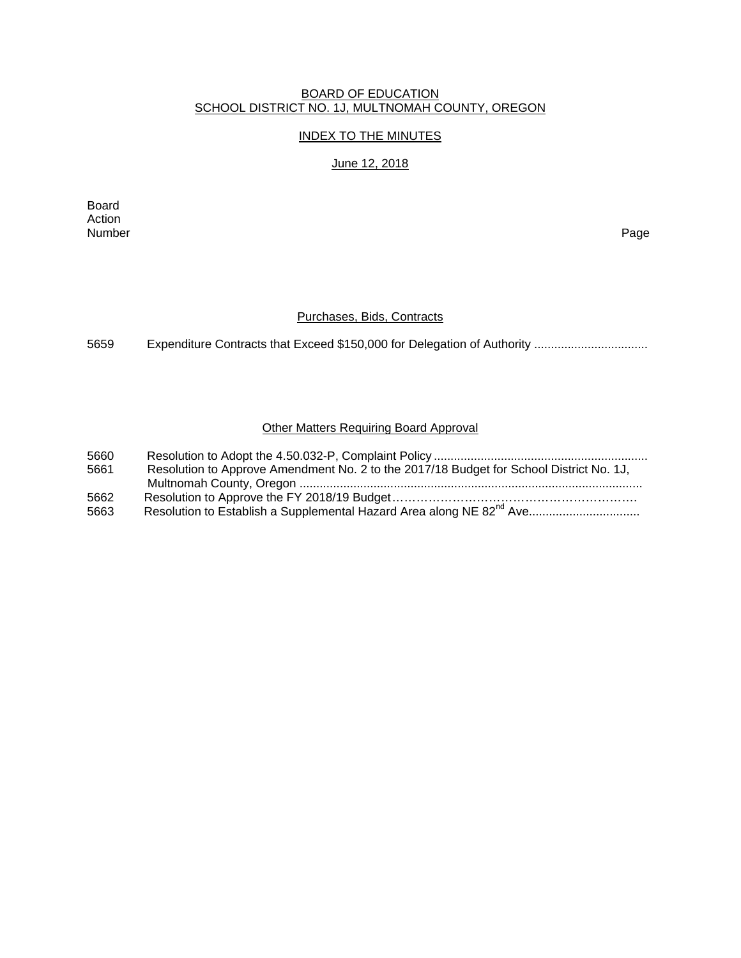#### BOARD OF EDUCATION SCHOOL DISTRICT NO. 1J, MULTNOMAH COUNTY, OREGON

## INDEX TO THE MINUTES

June 12, 2018

Board Action Number Page

#### Purchases, Bids, Contracts

5659 Expenditure Contracts that Exceed \$150,000 for Delegation of Authority .................................

## Other Matters Requiring Board Approval

| 5660 |                                                                                         |
|------|-----------------------------------------------------------------------------------------|
| 5661 | Resolution to Approve Amendment No. 2 to the 2017/18 Budget for School District No. 1J, |
|      |                                                                                         |
| 5662 |                                                                                         |
| 5663 |                                                                                         |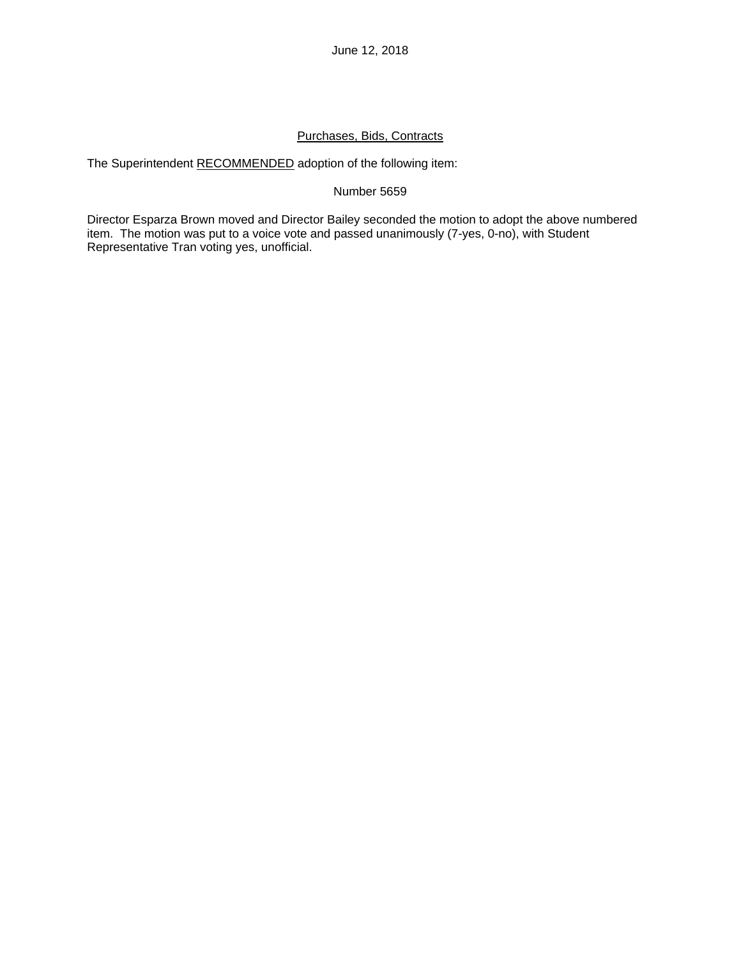# Purchases, Bids, Contracts

The Superintendent RECOMMENDED adoption of the following item:

## Number 5659

Director Esparza Brown moved and Director Bailey seconded the motion to adopt the above numbered item. The motion was put to a voice vote and passed unanimously (7-yes, 0-no), with Student Representative Tran voting yes, unofficial.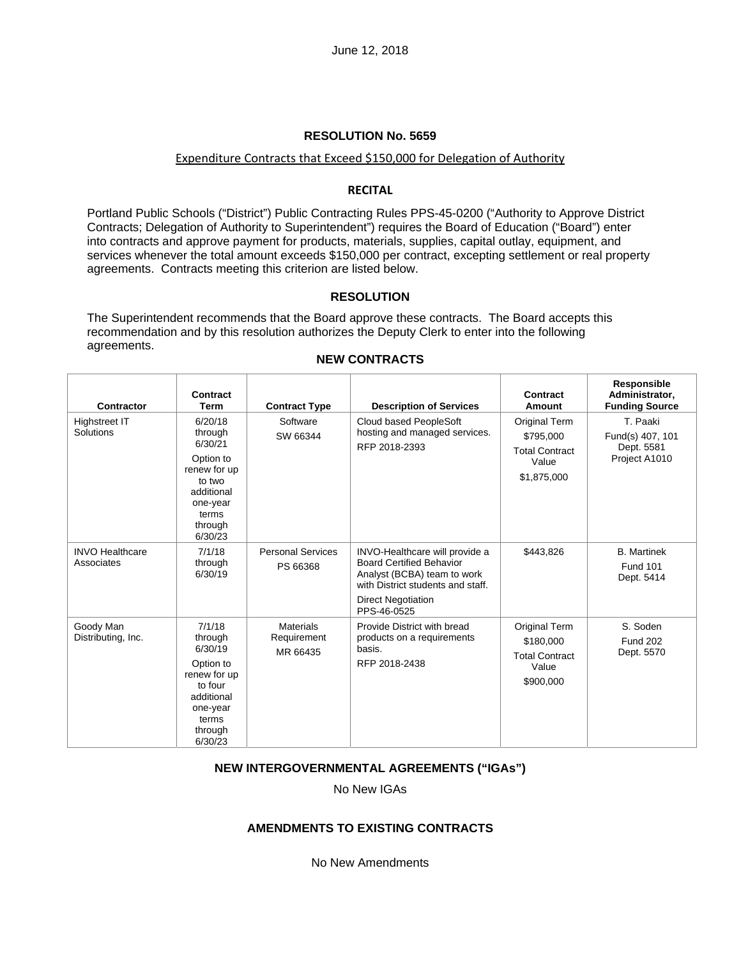#### Expenditure Contracts that Exceed \$150,000 for Delegation of Authority

#### **RECITAL**

Portland Public Schools ("District") Public Contracting Rules PPS-45-0200 ("Authority to Approve District Contracts; Delegation of Authority to Superintendent") requires the Board of Education ("Board") enter into contracts and approve payment for products, materials, supplies, capital outlay, equipment, and services whenever the total amount exceeds \$150,000 per contract, excepting settlement or real property agreements. Contracts meeting this criterion are listed below.

#### **RESOLUTION**

The Superintendent recommends that the Board approve these contracts. The Board accepts this recommendation and by this resolution authorizes the Deputy Clerk to enter into the following agreements.

| Contractor                           | Contract<br><b>Term</b>                                                                                                       | <b>Contract Type</b>                        | <b>Description of Services</b>                                                                                                                                                    | Contract<br>Amount                                                          | Responsible<br>Administrator,<br><b>Funding Source</b>      |
|--------------------------------------|-------------------------------------------------------------------------------------------------------------------------------|---------------------------------------------|-----------------------------------------------------------------------------------------------------------------------------------------------------------------------------------|-----------------------------------------------------------------------------|-------------------------------------------------------------|
| <b>Highstreet IT</b><br>Solutions    | 6/20/18<br>through<br>6/30/21<br>Option to<br>renew for up<br>to two<br>additional<br>one-year<br>terms<br>through<br>6/30/23 | Software<br>SW 66344                        | Cloud based PeopleSoft<br>hosting and managed services.<br>RFP 2018-2393                                                                                                          | Original Term<br>\$795,000<br><b>Total Contract</b><br>Value<br>\$1,875,000 | T. Paaki<br>Fund(s) 407, 101<br>Dept. 5581<br>Project A1010 |
| <b>INVO Healthcare</b><br>Associates | 7/1/18<br>through<br>6/30/19                                                                                                  | <b>Personal Services</b><br>PS 66368        | INVO-Healthcare will provide a<br><b>Board Certified Behavior</b><br>Analyst (BCBA) team to work<br>with District students and staff.<br><b>Direct Negotiation</b><br>PPS-46-0525 | \$443,826                                                                   | <b>B.</b> Martinek<br><b>Fund 101</b><br>Dept. 5414         |
| Goody Man<br>Distributing, Inc.      | 7/1/18<br>through<br>6/30/19<br>Option to<br>renew for up<br>to four<br>additional<br>one-year<br>terms<br>through<br>6/30/23 | <b>Materials</b><br>Requirement<br>MR 66435 | Provide District with bread<br>products on a requirements<br>basis.<br>RFP 2018-2438                                                                                              | Original Term<br>\$180,000<br><b>Total Contract</b><br>Value<br>\$900,000   | S. Soden<br><b>Fund 202</b><br>Dept. 5570                   |

#### **NEW CONTRACTS**

#### **NEW INTERGOVERNMENTAL AGREEMENTS ("IGAs")**

No New IGAs

## **AMENDMENTS TO EXISTING CONTRACTS**

No New Amendments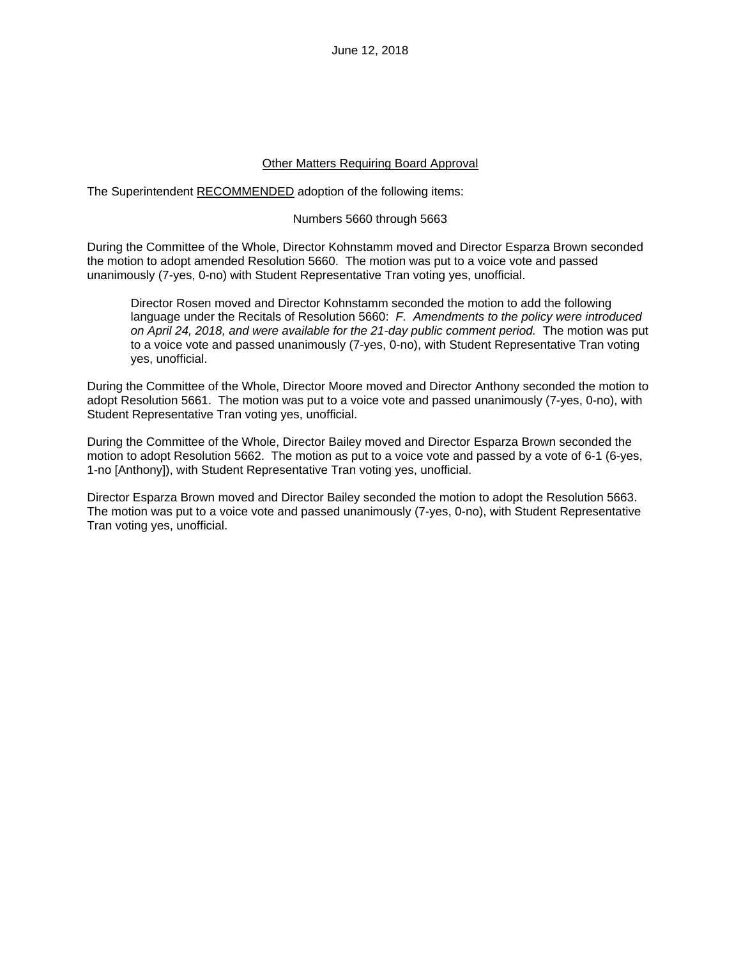June 12, 2018

#### Other Matters Requiring Board Approval

The Superintendent RECOMMENDED adoption of the following items:

#### Numbers 5660 through 5663

During the Committee of the Whole, Director Kohnstamm moved and Director Esparza Brown seconded the motion to adopt amended Resolution 5660. The motion was put to a voice vote and passed unanimously (7-yes, 0-no) with Student Representative Tran voting yes, unofficial.

Director Rosen moved and Director Kohnstamm seconded the motion to add the following language under the Recitals of Resolution 5660: *F. Amendments to the policy were introduced on April 24, 2018, and were available for the 21-day public comment period.* The motion was put to a voice vote and passed unanimously (7-yes, 0-no), with Student Representative Tran voting yes, unofficial.

During the Committee of the Whole, Director Moore moved and Director Anthony seconded the motion to adopt Resolution 5661. The motion was put to a voice vote and passed unanimously (7-yes, 0-no), with Student Representative Tran voting yes, unofficial.

During the Committee of the Whole, Director Bailey moved and Director Esparza Brown seconded the motion to adopt Resolution 5662. The motion as put to a voice vote and passed by a vote of 6-1 (6-yes, 1-no [Anthony]), with Student Representative Tran voting yes, unofficial.

Director Esparza Brown moved and Director Bailey seconded the motion to adopt the Resolution 5663. The motion was put to a voice vote and passed unanimously (7-yes, 0-no), with Student Representative Tran voting yes, unofficial.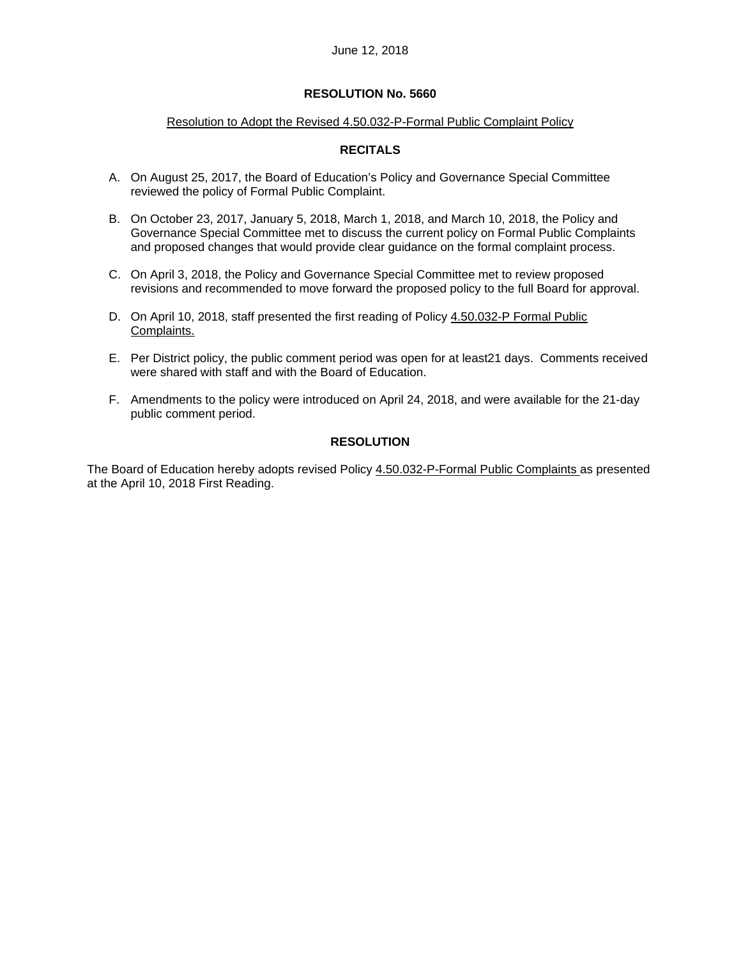## Resolution to Adopt the Revised 4.50.032-P-Formal Public Complaint Policy

# **RECITALS**

- A. On August 25, 2017, the Board of Education's Policy and Governance Special Committee reviewed the policy of Formal Public Complaint.
- B. On October 23, 2017, January 5, 2018, March 1, 2018, and March 10, 2018, the Policy and Governance Special Committee met to discuss the current policy on Formal Public Complaints and proposed changes that would provide clear guidance on the formal complaint process.
- C. On April 3, 2018, the Policy and Governance Special Committee met to review proposed revisions and recommended to move forward the proposed policy to the full Board for approval.
- D. On April 10, 2018, staff presented the first reading of Policy 4.50.032-P Formal Public Complaints.
- E. Per District policy, the public comment period was open for at least21 days. Comments received were shared with staff and with the Board of Education.
- F. Amendments to the policy were introduced on April 24, 2018, and were available for the 21-day public comment period.

# **RESOLUTION**

The Board of Education hereby adopts revised Policy 4.50.032-P-Formal Public Complaints as presented at the April 10, 2018 First Reading.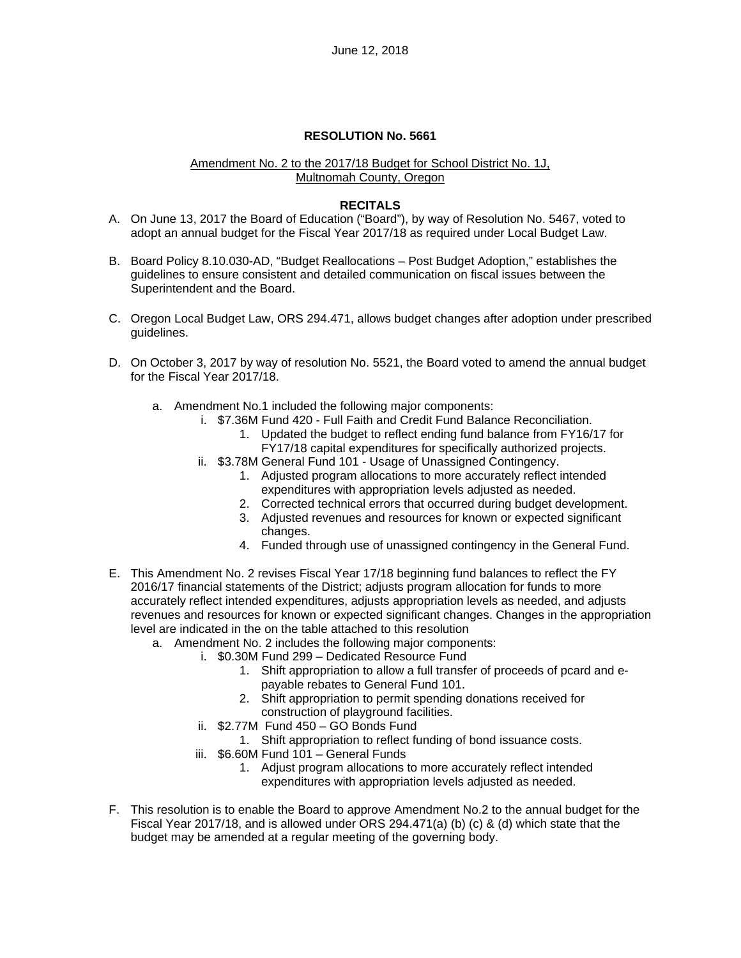#### Amendment No. 2 to the 2017/18 Budget for School District No. 1J, Multnomah County, Oregon

## **RECITALS**

- A. On June 13, 2017 the Board of Education ("Board"), by way of Resolution No. 5467, voted to adopt an annual budget for the Fiscal Year 2017/18 as required under Local Budget Law.
- B. Board Policy 8.10.030-AD, "Budget Reallocations Post Budget Adoption," establishes the guidelines to ensure consistent and detailed communication on fiscal issues between the Superintendent and the Board.
- C. Oregon Local Budget Law, ORS 294.471, allows budget changes after adoption under prescribed guidelines.
- D. On October 3, 2017 by way of resolution No. 5521, the Board voted to amend the annual budget for the Fiscal Year 2017/18.
	- a. Amendment No.1 included the following major components:
		- i. \$7.36M Fund 420 Full Faith and Credit Fund Balance Reconciliation.
			- 1. Updated the budget to reflect ending fund balance from FY16/17 for FY17/18 capital expenditures for specifically authorized projects.
		- ii. \$3.78M General Fund 101 Usage of Unassigned Contingency.
			- 1. Adjusted program allocations to more accurately reflect intended expenditures with appropriation levels adjusted as needed.
			- 2. Corrected technical errors that occurred during budget development.
			- 3. Adjusted revenues and resources for known or expected significant changes.
			- 4. Funded through use of unassigned contingency in the General Fund.
- E. This Amendment No. 2 revises Fiscal Year 17/18 beginning fund balances to reflect the FY 2016/17 financial statements of the District; adjusts program allocation for funds to more accurately reflect intended expenditures, adjusts appropriation levels as needed, and adjusts revenues and resources for known or expected significant changes. Changes in the appropriation level are indicated in the on the table attached to this resolution
	- a. Amendment No. 2 includes the following major components:
		- i. \$0.30M Fund 299 Dedicated Resource Fund
			- 1. Shift appropriation to allow a full transfer of proceeds of pcard and epayable rebates to General Fund 101.
			- 2. Shift appropriation to permit spending donations received for construction of playground facilities.
		- ii. \$2.77M Fund 450 GO Bonds Fund
		- 1. Shift appropriation to reflect funding of bond issuance costs.
		- iii. \$6.60M Fund 101 General Funds
			- 1. Adjust program allocations to more accurately reflect intended expenditures with appropriation levels adjusted as needed.
- F. This resolution is to enable the Board to approve Amendment No.2 to the annual budget for the Fiscal Year 2017/18, and is allowed under ORS 294.471(a) (b) (c) & (d) which state that the budget may be amended at a regular meeting of the governing body.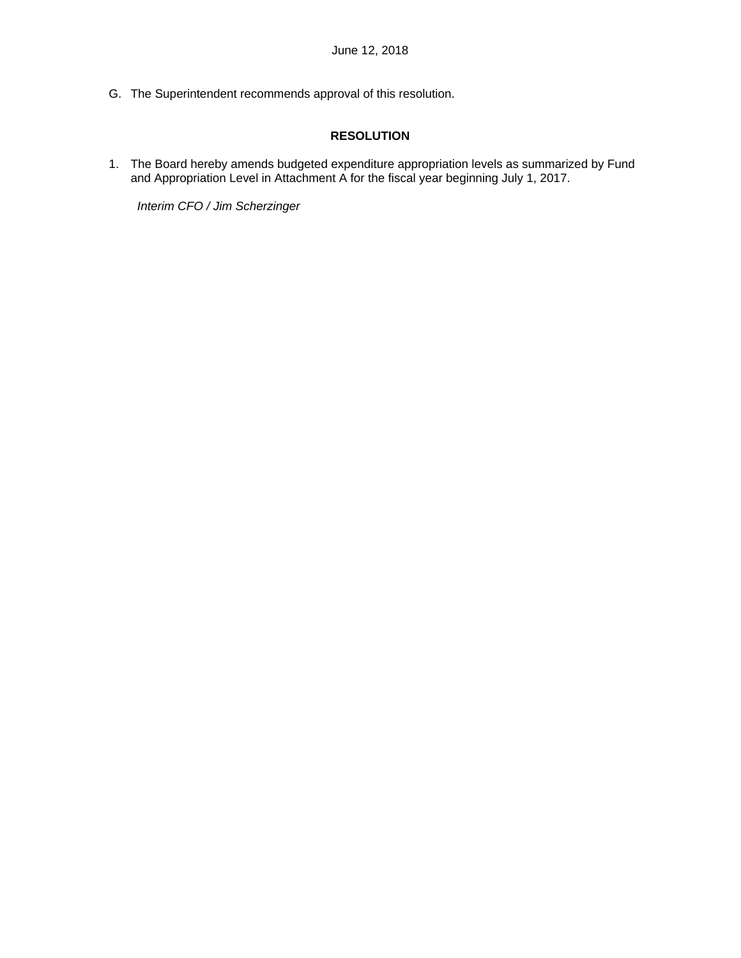G. The Superintendent recommends approval of this resolution.

# **RESOLUTION**

1. The Board hereby amends budgeted expenditure appropriation levels as summarized by Fund and Appropriation Level in Attachment A for the fiscal year beginning July 1, 2017.

*Interim CFO / Jim Scherzinger*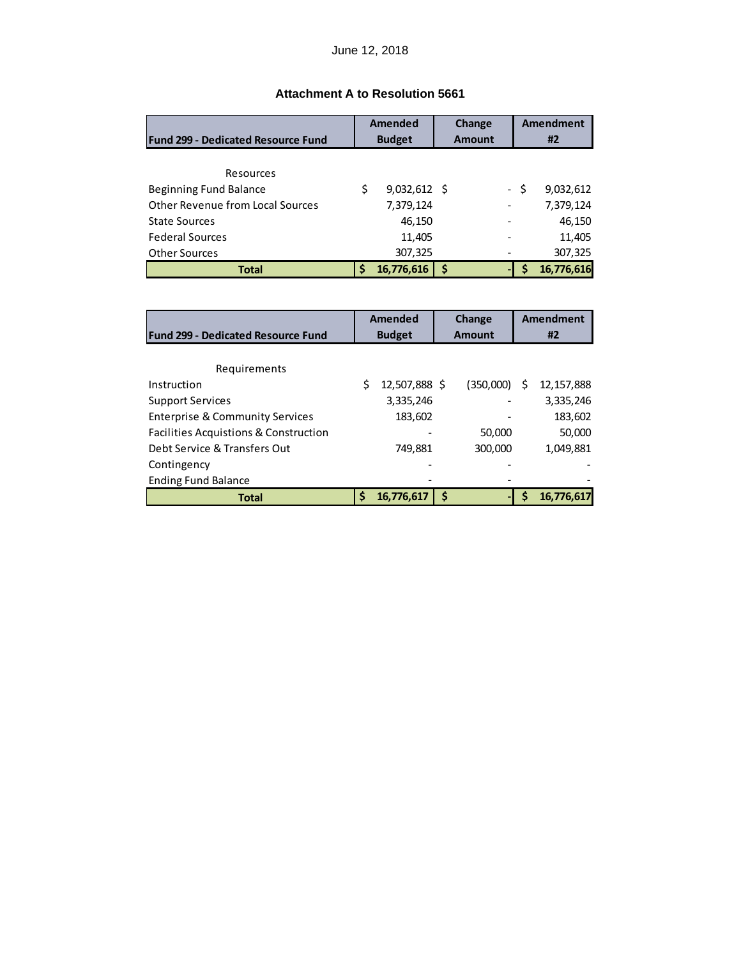# **Attachment A to Resolution 5661**

|                                           | <b>Amended</b> |                | Change        |   |      | <b>Amendment</b> |
|-------------------------------------------|----------------|----------------|---------------|---|------|------------------|
| <b>Fund 299 - Dedicated Resource Fund</b> |                | <b>Budget</b>  | <b>Amount</b> |   |      | #2               |
|                                           |                |                |               |   |      |                  |
| Resources                                 |                |                |               |   |      |                  |
| Beginning Fund Balance                    | \$             | $9,032,612$ \$ |               |   | - \$ | 9,032,612        |
| <b>Other Revenue from Local Sources</b>   |                | 7,379,124      |               |   |      | 7,379,124        |
| <b>State Sources</b>                      |                | 46,150         |               |   |      | 46,150           |
| <b>Federal Sources</b>                    |                | 11,405         |               |   |      | 11,405           |
| <b>Other Sources</b>                      |                | 307,325        |               |   |      | 307,325          |
| <b>Total</b>                              |                | 16,776,616     | \$            | ٠ |      | 16,776,616       |

|                                                  | Amended<br>Change |               | <b>Amendment</b> |  |    |            |
|--------------------------------------------------|-------------------|---------------|------------------|--|----|------------|
| <b>Fund 299 - Dedicated Resource Fund</b>        |                   | <b>Budget</b> | <b>Amount</b>    |  | #2 |            |
|                                                  |                   |               |                  |  |    |            |
| Requirements                                     |                   |               |                  |  |    |            |
| Instruction                                      |                   | 12,507,888 \$ | (350,000)        |  | S  | 12,157,888 |
| <b>Support Services</b>                          |                   | 3,335,246     |                  |  |    | 3,335,246  |
| <b>Enterprise &amp; Community Services</b>       |                   | 183,602       |                  |  |    | 183,602    |
| <b>Facilities Acquistions &amp; Construction</b> |                   |               | 50,000           |  |    | 50,000     |
| Debt Service & Transfers Out                     |                   | 749,881       | 300,000          |  |    | 1,049,881  |
| Contingency                                      |                   |               |                  |  |    |            |
| <b>Ending Fund Balance</b>                       |                   |               |                  |  |    |            |
| <b>Total</b>                                     | Ś                 | 16,776,617    | Ś                |  |    | 16,776,617 |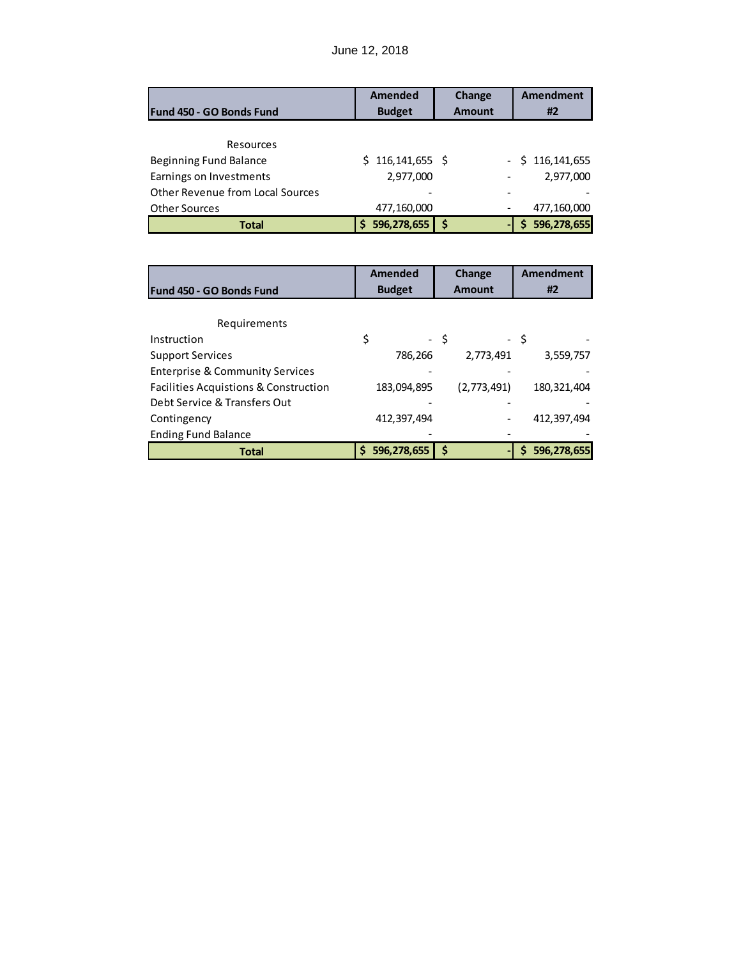# June 12, 2018

|                                         | <b>Amended</b>      | Change        |                          | <b>Amendment</b> |
|-----------------------------------------|---------------------|---------------|--------------------------|------------------|
| Fund 450 - GO Bonds Fund                | <b>Budget</b>       | <b>Amount</b> |                          | #2               |
|                                         |                     |               |                          |                  |
| Resources                               |                     |               |                          |                  |
| Beginning Fund Balance                  | $$116, 141, 655$ \$ |               | $\overline{\phantom{0}}$ | \$116, 141, 655  |
| Earnings on Investments                 | 2,977,000           |               |                          | 2,977,000        |
| <b>Other Revenue from Local Sources</b> |                     |               |                          |                  |
| <b>Other Sources</b>                    | 477,160,000         |               |                          | 477,160,000      |
| <b>Total</b>                            | 596,278,655         | S             |                          | 596,278,655      |

|                                                  | <b>Amended</b>    | Change                         | <b>Amendment</b> |  |
|--------------------------------------------------|-------------------|--------------------------------|------------------|--|
| <b>Fund 450 - GO Bonds Fund</b>                  | <b>Budget</b>     | <b>Amount</b>                  | #2               |  |
|                                                  |                   |                                |                  |  |
| Requirements                                     |                   |                                |                  |  |
| Instruction                                      | \$                | - \$                           | - \$             |  |
| <b>Support Services</b>                          | 786,266           | 2,773,491                      | 3,559,757        |  |
| <b>Enterprise &amp; Community Services</b>       |                   |                                |                  |  |
| <b>Facilities Acquistions &amp; Construction</b> | 183,094,895       | (2,773,491)                    | 180, 321, 404    |  |
| Debt Service & Transfers Out                     |                   |                                |                  |  |
| Contingency                                      | 412,397,494       |                                | 412,397,494      |  |
| <b>Ending Fund Balance</b>                       |                   |                                |                  |  |
| Total                                            | 596,278,655<br>\$ | \$<br>$\overline{\phantom{0}}$ | 596,278,655<br>S |  |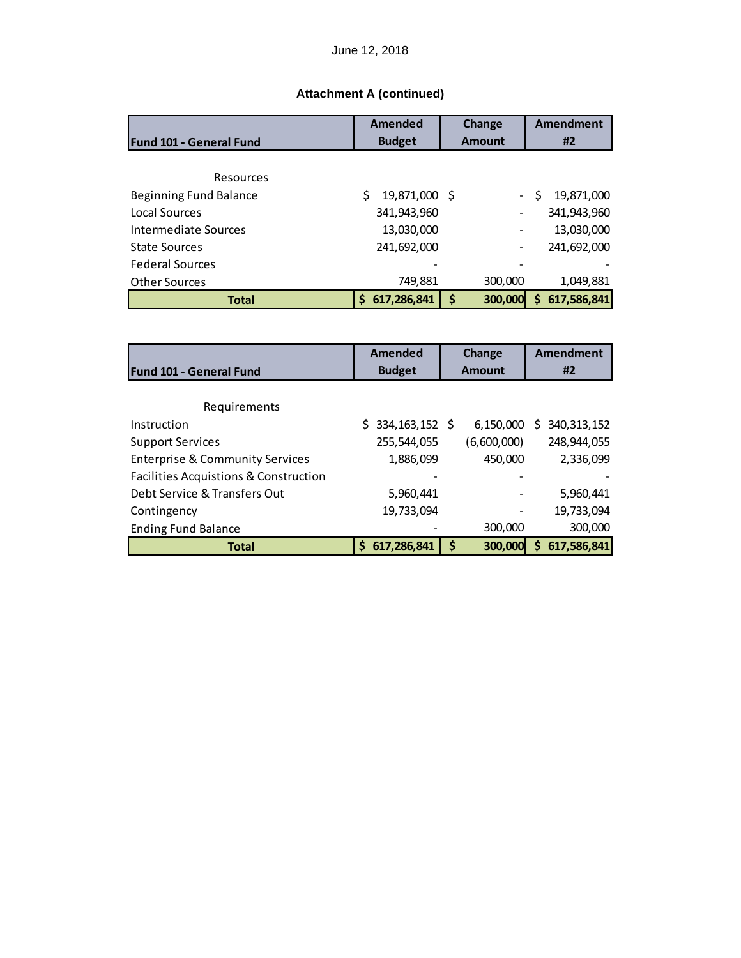|                                | Amended             | Change        | Amendment                         |
|--------------------------------|---------------------|---------------|-----------------------------------|
| <b>Fund 101 - General Fund</b> | <b>Budget</b>       | <b>Amount</b> | #2                                |
|                                |                     |               |                                   |
| Resources                      |                     |               |                                   |
| Beginning Fund Balance         | 19,871,000 \$<br>Ś. |               | 19,871,000<br>S<br>$\sim 10^{-1}$ |
| Local Sources                  | 341,943,960         |               | 341,943,960                       |
| <b>Intermediate Sources</b>    | 13,030,000          |               | 13,030,000                        |
| <b>State Sources</b>           | 241,692,000         |               | 241,692,000                       |
| <b>Federal Sources</b>         |                     |               |                                   |
| <b>Other Sources</b>           | 749,881             | 300,000       | 1,049,881                         |
| <b>Total</b>                   | 617,286,841<br>Ś    | \$<br>300,000 | 617,586,841<br>Ś.                 |

|                                                  | <b>Amended</b>         | Change        | <b>Amendment</b>   |
|--------------------------------------------------|------------------------|---------------|--------------------|
| <b>Fund 101 - General Fund</b>                   | <b>Budget</b>          | <b>Amount</b> | #2                 |
|                                                  |                        |               |                    |
| Requirements                                     |                        |               |                    |
| Instruction                                      | 334, 163, 152 \$<br>S. | 6,150,000     | 340, 313, 152<br>S |
| <b>Support Services</b>                          | 255,544,055            | (6,600,000)   | 248,944,055        |
| <b>Enterprise &amp; Community Services</b>       | 1,886,099              | 450,000       | 2,336,099          |
| <b>Facilities Acquistions &amp; Construction</b> |                        |               |                    |
| Debt Service & Transfers Out                     | 5,960,441              |               | 5,960,441          |
| Contingency                                      | 19,733,094             |               | 19,733,094         |
| <b>Ending Fund Balance</b>                       |                        | 300,000       | 300,000            |
| <b>Total</b>                                     | 617,286,841<br>Ś       | \$<br>300,000 | 617,586,841<br>Ś   |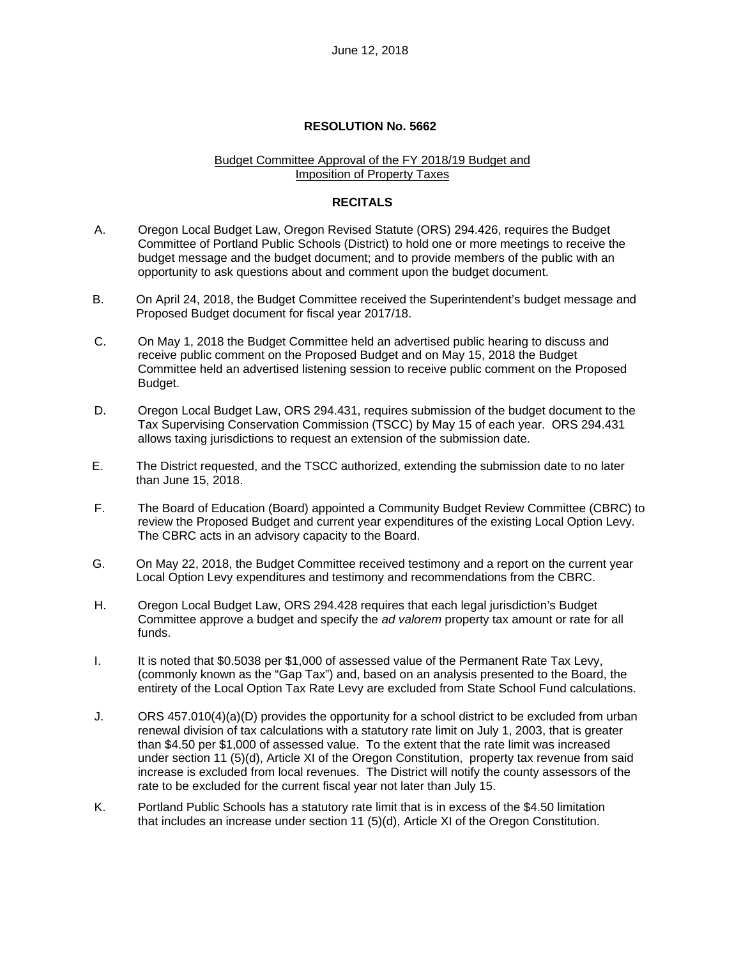#### Budget Committee Approval of the FY 2018/19 Budget and Imposition of Property Taxes

## **RECITALS**

- A. Oregon Local Budget Law, Oregon Revised Statute (ORS) 294.426, requires the Budget Committee of Portland Public Schools (District) to hold one or more meetings to receive the budget message and the budget document; and to provide members of the public with an opportunity to ask questions about and comment upon the budget document.
- B. On April 24, 2018, the Budget Committee received the Superintendent's budget message and Proposed Budget document for fiscal year 2017/18.
- C. On May 1, 2018 the Budget Committee held an advertised public hearing to discuss and receive public comment on the Proposed Budget and on May 15, 2018 the Budget Committee held an advertised listening session to receive public comment on the Proposed Budget.
- D. Oregon Local Budget Law, ORS 294.431, requires submission of the budget document to the Tax Supervising Conservation Commission (TSCC) by May 15 of each year. ORS 294.431 allows taxing jurisdictions to request an extension of the submission date.
- E. The District requested, and the TSCC authorized, extending the submission date to no later than June 15, 2018.
- F. The Board of Education (Board) appointed a Community Budget Review Committee (CBRC) to review the Proposed Budget and current year expenditures of the existing Local Option Levy. The CBRC acts in an advisory capacity to the Board.
- G. On May 22, 2018, the Budget Committee received testimony and a report on the current year Local Option Levy expenditures and testimony and recommendations from the CBRC.
- H. Oregon Local Budget Law, ORS 294.428 requires that each legal jurisdiction's Budget Committee approve a budget and specify the *ad valorem* property tax amount or rate for all funds.
- I. It is noted that \$0.5038 per \$1,000 of assessed value of the Permanent Rate Tax Levy, (commonly known as the "Gap Tax") and, based on an analysis presented to the Board, the entirety of the Local Option Tax Rate Levy are excluded from State School Fund calculations.
- J. ORS 457.010(4)(a)(D) provides the opportunity for a school district to be excluded from urban renewal division of tax calculations with a statutory rate limit on July 1, 2003, that is greater than \$4.50 per \$1,000 of assessed value. To the extent that the rate limit was increased under section 11 (5)(d), Article XI of the Oregon Constitution, property tax revenue from said increase is excluded from local revenues. The District will notify the county assessors of the rate to be excluded for the current fiscal year not later than July 15.
- K. Portland Public Schools has a statutory rate limit that is in excess of the \$4.50 limitation that includes an increase under section 11 (5)(d), Article XI of the Oregon Constitution.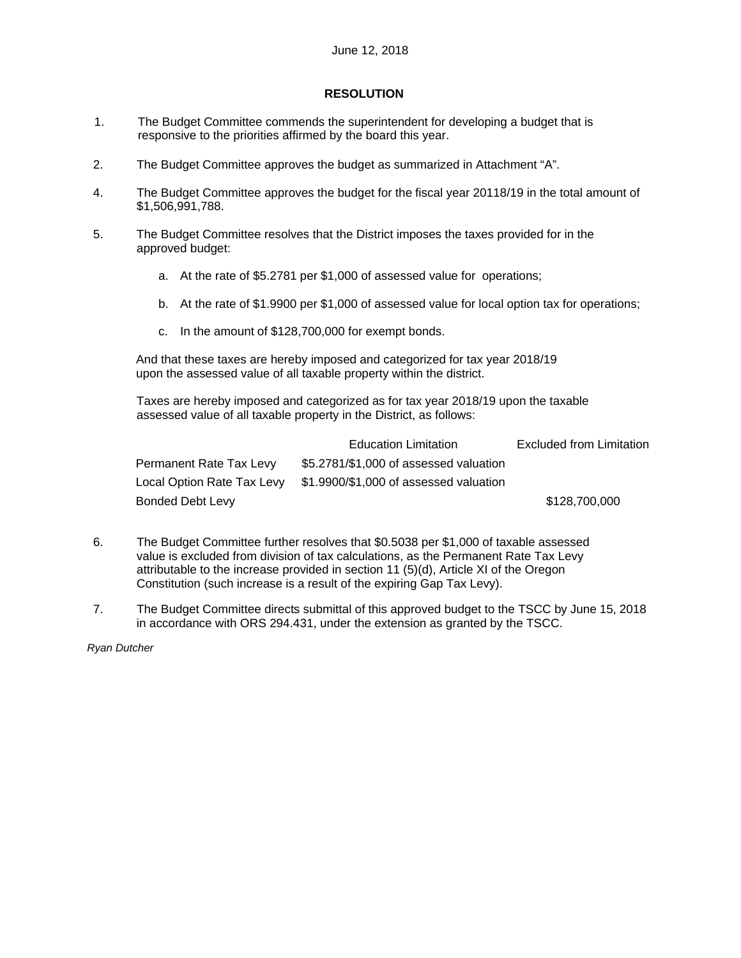## **RESOLUTION**

- 1. The Budget Committee commends the superintendent for developing a budget that is responsive to the priorities affirmed by the board this year.
- 2. The Budget Committee approves the budget as summarized in Attachment "A".
- 4. The Budget Committee approves the budget for the fiscal year 20118/19 in the total amount of \$1,506,991,788.
- 5. The Budget Committee resolves that the District imposes the taxes provided for in the approved budget:
	- a. At the rate of \$5.2781 per \$1,000 of assessed value for operations;
	- b. At the rate of \$1.9900 per \$1,000 of assessed value for local option tax for operations;
	- c. In the amount of \$128,700,000 for exempt bonds.

And that these taxes are hereby imposed and categorized for tax year 2018/19 upon the assessed value of all taxable property within the district.

Taxes are hereby imposed and categorized as for tax year 2018/19 upon the taxable assessed value of all taxable property in the District, as follows:

|                         | <b>Education Limitation</b>                                       | <b>Excluded from Limitation</b> |
|-------------------------|-------------------------------------------------------------------|---------------------------------|
| Permanent Rate Tax Levy | \$5.2781/\$1,000 of assessed valuation                            |                                 |
|                         | Local Option Rate Tax Levy \$1.9900/\$1,000 of assessed valuation |                                 |
| Bonded Debt Levy        |                                                                   | \$128,700,000                   |

- 6. The Budget Committee further resolves that \$0.5038 per \$1,000 of taxable assessed value is excluded from division of tax calculations, as the Permanent Rate Tax Levy attributable to the increase provided in section 11 (5)(d), Article XI of the Oregon Constitution (such increase is a result of the expiring Gap Tax Levy).
- 7. The Budget Committee directs submittal of this approved budget to the TSCC by June 15, 2018 in accordance with ORS 294.431, under the extension as granted by the TSCC.

*Ryan Dutcher*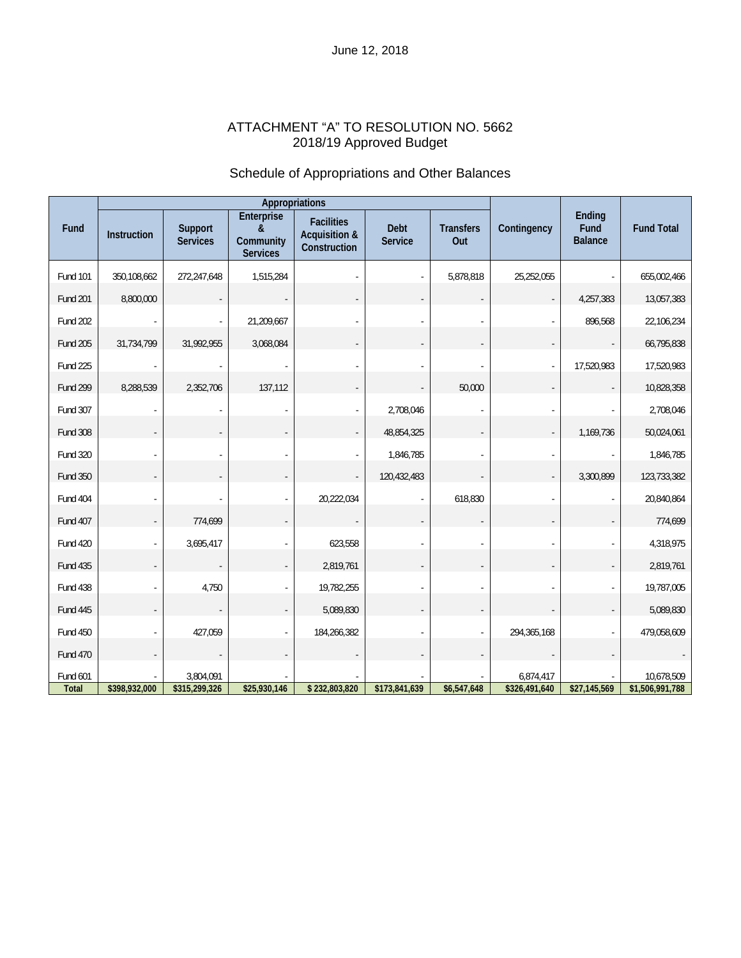# ATTACHMENT "A" TO RESOLUTION NO. 5662 2018/19 Approved Budget

# Schedule of Appropriations and Other Balances

|                   | Appropriations |                            |                                                 |                                                               |                        |                          |                            |                                  |                               |
|-------------------|----------------|----------------------------|-------------------------------------------------|---------------------------------------------------------------|------------------------|--------------------------|----------------------------|----------------------------------|-------------------------------|
| Fund              | Instruction    | Support<br><b>Services</b> | Enterprise<br>&<br>Community<br><b>Services</b> | <b>Facilities</b><br><b>Acquisition &amp;</b><br>Construction | Debt<br><b>Service</b> | <b>Transfers</b><br>Out  | Contingency                | Ending<br>Fund<br><b>Balance</b> | <b>Fund Total</b>             |
| Fund 101          | 350,108,662    | 272,247,648                | 1,515,284                                       |                                                               |                        | 5,878,818                | 25,252,055                 |                                  | 655,002,466                   |
| <b>Fund 201</b>   | 8,800,000      |                            |                                                 |                                                               |                        |                          |                            | 4,257,383                        | 13,057,383                    |
| <b>Fund 202</b>   |                |                            | 21,209,667                                      |                                                               |                        |                          |                            | 896,568                          | 22,106,234                    |
| <b>Fund 205</b>   | 31,734,799     | 31,992,955                 | 3,068,084                                       |                                                               |                        |                          |                            |                                  | 66,795,838                    |
| Fund 225          |                |                            |                                                 |                                                               |                        |                          |                            | 17,520,983                       | 17,520,983                    |
| Fund 299          | 8,288,539      | 2,352,706                  | 137,112                                         |                                                               |                        | 50,000                   |                            |                                  | 10,828,358                    |
| Fund 307          |                |                            |                                                 |                                                               | 2,708,046              | ä,                       |                            |                                  | 2,708,046                     |
| <b>Fund 308</b>   |                |                            |                                                 |                                                               | 48,854,325             | $\overline{\phantom{a}}$ |                            | 1,169,736                        | 50,024,061                    |
| Fund 320          |                |                            |                                                 |                                                               | 1,846,785              |                          |                            |                                  | 1,846,785                     |
| Fund 350          |                |                            |                                                 |                                                               | 120,432,483            |                          | $\sim$                     | 3,300,899                        | 123,733,382                   |
| Fund 404          |                |                            |                                                 | 20,222,034                                                    |                        | 618,830                  |                            |                                  | 20,840,864                    |
| Fund 407          |                | 774,699                    |                                                 |                                                               |                        |                          |                            |                                  | 774,699                       |
| Fund 420          | $\sim$         | 3,695,417                  |                                                 | 623,558                                                       |                        |                          |                            |                                  | 4,318,975                     |
| <b>Fund 435</b>   |                |                            |                                                 | 2,819,761                                                     |                        |                          |                            |                                  | 2,819,761                     |
| Fund 438          |                | 4,750                      |                                                 | 19,782,255                                                    |                        |                          |                            |                                  | 19,787,005                    |
| Fund 445          |                |                            |                                                 | 5,089,830                                                     |                        | $\overline{\phantom{a}}$ |                            |                                  | 5,089,830                     |
| <b>Fund 450</b>   |                | 427,059                    |                                                 | 184,266,382                                                   |                        | ÷,                       | 294,365,168                |                                  | 479,058,609                   |
| <b>Fund 470</b>   |                |                            |                                                 |                                                               |                        |                          |                            |                                  |                               |
| Fund 601<br>Total | \$398,932,000  | 3,804,091<br>\$315,299,326 | \$25,930,146                                    | \$232,803,820                                                 | \$173,841,639          | \$6,547,648              | 6,874,417<br>\$326,491,640 | \$27,145,569                     | 10,678,509<br>\$1,506,991,788 |